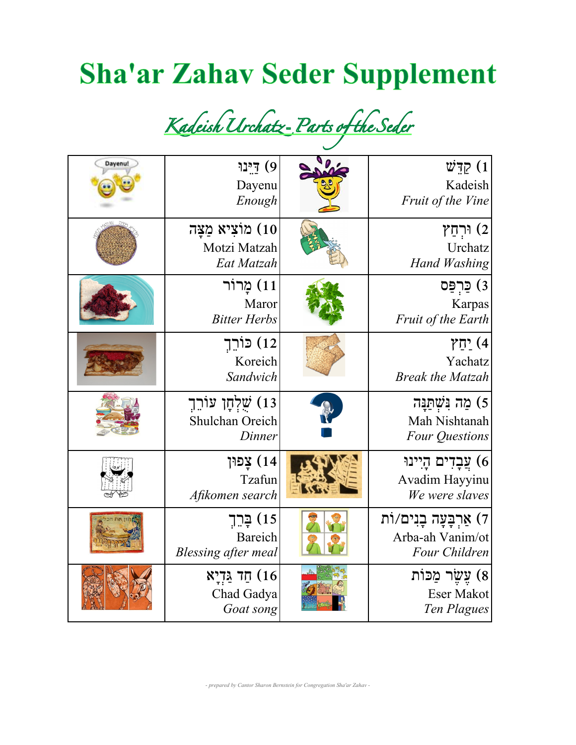## **Sha'ar Zahav Seder Supplement**

*Kadeish**Urchatz* **-** *Parts**of**the**Seder*

| Dayenu! | 9) דינו<br>Dayenu<br>Enough                          | קּדָשׁ $(1)$<br>Kadeish<br>Fruit of the Vine                            |
|---------|------------------------------------------------------|-------------------------------------------------------------------------|
|         | 10) מוֹצִיא מַצַּה<br>Motzi Matzah<br>Eat Matzah     | וּרְחַץ (2<br>Urchatz<br><b>Hand Washing</b>                            |
|         | 11) מַרוֹר<br>Maror<br><b>Bitter Herbs</b>           | 3) <u>כּ</u> רִפַּס<br>Karpas<br>Fruit of the Earth                     |
|         | 12) כּוֹרֵךָ<br>Koreich<br>Sandwich                  | 1) יַחַץ<br>Yachatz<br><b>Break the Matzah</b>                          |
|         | 13) שֵׁלְחָן עוֹרֵךָ<br>Shulchan Oreich<br>Dinner    | 5) מַה נִּשְׁתַּנַּה<br>Mah Nishtanah<br><b>Four Questions</b>          |
|         | 14) צַפוּן<br>Tzafun<br>Afikomen search              | 6) עֲבָדִים הָיִינוּ<br>Avadim Hayyinu<br>We were slaves                |
|         | 15) בַּרֵךְ<br><b>Bareich</b><br>Blessing after meal | ן <i>ז</i> ) אַרְבָּעָה בָנִים/וֹת<br>Arba-ah Vanim/ot<br>Four Children |
|         | חַד גַּדְיָא (16<br>Chad Gadya<br>Goat song          | 8) עֵשֵׂר מַכּוֹת<br><b>Eser Makot</b><br>Ten Plagues                   |

*- prepared by Cantor Sharon Bernstein for Congregation Sha'ar Zahav -*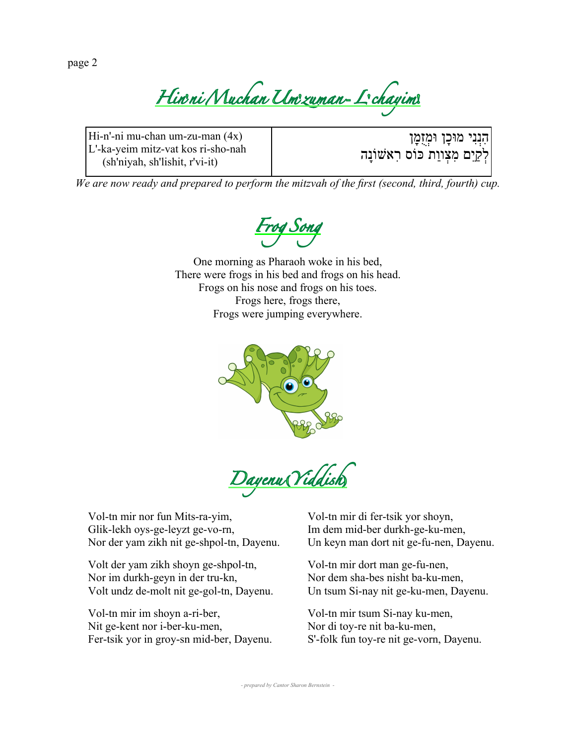page 2

*Hin***'***ni**Muchan**Um***'***zuman* **-** *L***'***chayim***!**

Hi-n'-ni mu-chan um-zu-man (4x) L'-ka-yeim mitz-vat kos ri-sho-nah (sh'niyah, sh'lishit, r'vi-it)

הִנְנִי מוּכָן וּמְז<mark>ָמָן</mark> לְקַיֵם מִצְווַת כּוֹס רִאשׁוֹנָה

*We are now ready and prepared to perform the mitzvah of the first (second, third, fourth) cup.*



One morning as Pharaoh woke in his bed, There were frogs in his bed and frogs on his head. Frogs on his nose and frogs on his toes. Frogs here, frogs there, Frogs were jumping everywhere.



*Dayenu* **(***Yiddish***)**

Vol-tn mir nor fun Mits-ra-yim, Glik-lekh oys-ge-leyzt ge-vo-rn, Nor der yam zikh nit ge-shpol-tn, Dayenu.

Volt der yam zikh shoyn ge-shpol-tn, Nor im durkh-geyn in der tru-kn, Volt undz de-molt nit ge-gol-tn, Dayenu.

Vol-tn mir im shoyn a-ri-ber, Nit ge-kent nor i-ber-ku-men, Fer-tsik yor in groy-sn mid-ber, Dayenu.

Vol-tn mir di fer-tsik yor shoyn, Im dem mid-ber durkh-ge-ku-men, Un keyn man dort nit ge-fu-nen, Dayenu.

Vol-tn mir dort man ge-fu-nen, Nor dem sha-bes nisht ba-ku-men, Un tsum Si-nay nit ge-ku-men, Dayenu.

Vol-tn mir tsum Si-nay ku-men, Nor di toy-re nit ba-ku-men, S'-folk fun toy-re nit ge-vorn, Dayenu.

*- prepared by Cantor Sharon Bernstein -*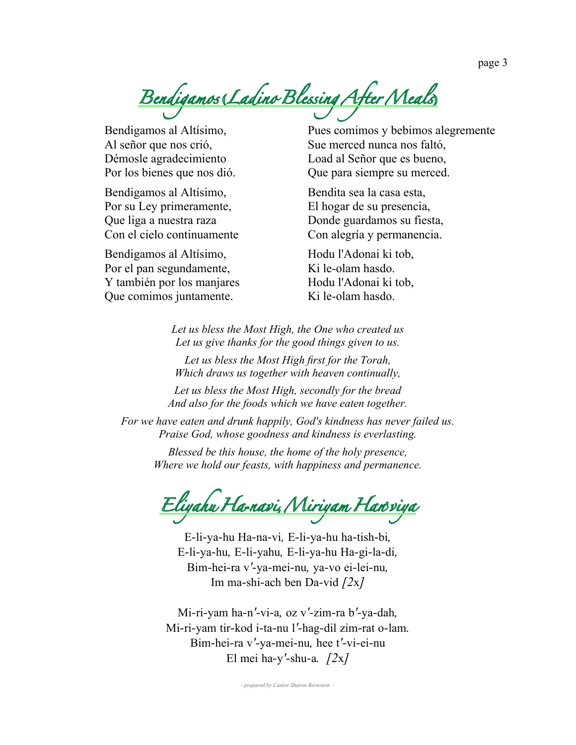*Bendigamos* **(***Ladino**Blessing**After**Meals***)**

Bendigamos al Altísimo, Al señor que nos crió, Démosle agradecimiento Por los bienes que nos dió.

Bendigamos al Altísimo, Por su Ley primeramente, Que liga a nuestra raza Con el cielo continuamente

Bendigamos al Altísimo, Por el pan segundamente, Y también por los manjares Que comimos juntamente.

Pues comimos y bebimos alegremente Sue merced nunca nos faltó, Load al Señor que es bueno, Que para siempre su merced.

Bendita sea la casa esta, El hogar de su presencia, Donde guardamos su fiesta, Con alegría y permanencia.

Hodu l'Adonai ki tob, Ki le-olam hasdo. Hodu l'Adonai ki tob, Ki le-olam hasdo.

*Let us bless the Most High, the One who created us Let us give thanks for the good things given to us.*

*Let us bless the Most High first for the Torah, Which draws us together with heaven continually,*

*Let us bless the Most High, secondly for the bread And also for the foods which we have eaten together.*

*For we have eaten and drunk happily, God's kindness has never failed us. Praise God, whose goodness and kindness is everlasting.*

*Blessed be this house, the home of the holy presence, Where we hold our feasts, with happiness and permanence.*

*Eliyahu**Ha***-***navi***,** *Miriyam**Han***'***viya*

E*-*li*-*ya*-*hu Ha*-*na*-*vi*,* E*-*li*-*ya*-*hu ha*-*tish*-*bi*,* E*-*li*-*ya*-*hu*,* E*-*li*-*yahu*,* E*-*li*-*ya*-*hu Ha*-*gi*-*la*-*di*,* Bim*-*hei*-*ra v*'-*ya*-*mei*-*nu*,* ya*-*vo ei*-*lei*-*nu*,* Im ma*-*shi*-*ach ben Da*-*vid *[2*x*]*

Mi*-*ri*-*yam ha*-*n*'-*vi*-*a*,* oz v*'-*zim*-*ra b*'-*ya*-*dah*,* Mi*-*ri*-*yam tir*-*kod i*-*ta*-*nu l*'-*hag*-*dil zim*-*rat o*-*lam*.* Bim*-*hei*-*ra v*'-*ya*-*mei*-*nu*,* hee t*'-*vi*-*ei*-*nu El mei ha*-*y*'-*shu*-*a*. [2*x*]*

*- prepared by Cantor Sharon Bernstein -*

page 3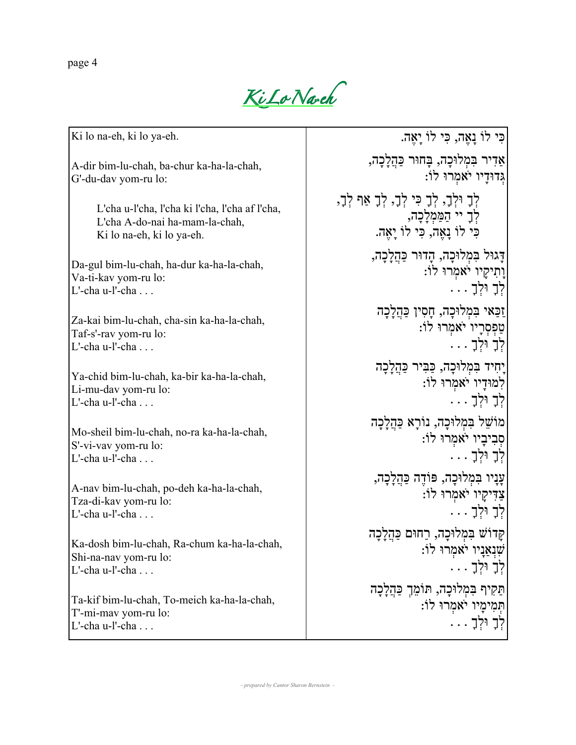page 4

*Ki**Lo**Na***-***eh*

Ki lo na-eh, ki lo ya-eh.

A-dir bim-lu-chah, ba-chur ka-ha-la-chah, G'-du-dav yom-ru lo:

> L'cha u-l'cha, l'cha ki l'cha, l'cha af l'cha, L'cha A-do-nai ha-mam-la-chah, Ki lo na-eh, ki lo ya-eh.

Da-gul bim-lu-chah, ha-dur ka-ha-la-chah, Va-ti-kav yom-ru lo:  $L'$ -cha u-l'-cha  $\ldots$ 

Za-kai bim-lu-chah, cha-sin ka-ha-la-chah, Taf-s'-rav yom-ru lo: L'-cha u-l'-cha . . .

Ya-chid bim-lu-chah, ka-bir ka-ha-la-chah, Li-mu-dav yom-ru lo: L'-cha u-l'-cha . . .

Mo-sheil bim-lu-chah, no-ra ka-ha-la-chah, S'-vi-vav yom-ru lo: L'-cha u-l'-cha . . .

A-nav bim-lu-chah, po-deh ka-ha-la-chah, Tza-di-kav yom-ru lo: L'-cha u-l'-cha  $\blacksquare$ 

Ka-dosh bim-lu-chah, Ra-chum ka-ha-la-chah, Shi-na-nav yom-ru lo: L'-cha u-l'-cha . . .

Ta-kif bim-lu-chah, To-meich ka-ha-la-chah, T'-mi-mav yom-ru lo: L'-cha u-l'-cha . . .

כִּי לוֹ נָאֵֶה, כִּי לוֹ יָאֶה. אַדִיר בִּמְלוּכָה, בָּחוּר כַּהֲלָכָה, גְּדוּדָיו יֹאמְרוּ לוֹ: לְךָ וּלְך,ָ לְךָ כִּי לְך,ָ לְךָ אַף לְך,ָ לְךָ יי הַמַּמְלָכָה, כִּי לוֹ נָאֵֶה, כִּי לוֹ יָאֶה. דָּגוּל בִּמְלוּכָה, הָדוּר כַּהֲלָכָה, וָתִיקָיו יֹאמְרוּ לוֹ: לְךָ וּלְךָ . . . זַכַּאי בִּמְלוּכָה, חָסִין כַּהֲלָכָה טַפְסְרָיו יֹאמְרוּ לוֹ: לְךָ וּלְךָ . . . יָחִיד בִּמְלוּכָה, כַּבִּיר כַּהֲלָכָה לִמוּדָיו יֹאמְרוּ לוֹ: לְךָ וּלְךָ . . . מוֹשֵׁל בִּמְלוּכָה, נוֹרָא כַּהֲלָכָה סְבִיבָיו יֹאמְרוּ לוֹ: לְךָ וּלְךָ . . . עָנָיו בִּמְלוּכָה, פּוֹדֶה כַּהֲלָכָה, צַדִּיקָיו יֹאמְרוּ לוֹ: לְךָ וּלְךָ . . . קָּדוֹשׁ בִּמְלוּכָה, רַחוּם כַּהֲלָכָה שִׁנְאַנָיו יֹאמְרוּ לוֹ: לְךָ וּלְךָ . . . תַּקִיף בִּמְלוּכָה, תּוֹמֵךְ כַּהֲלָכָה תְּמִימָיו יֹאמְרוּ לוֹ: לְךָ וּלְךָ . . .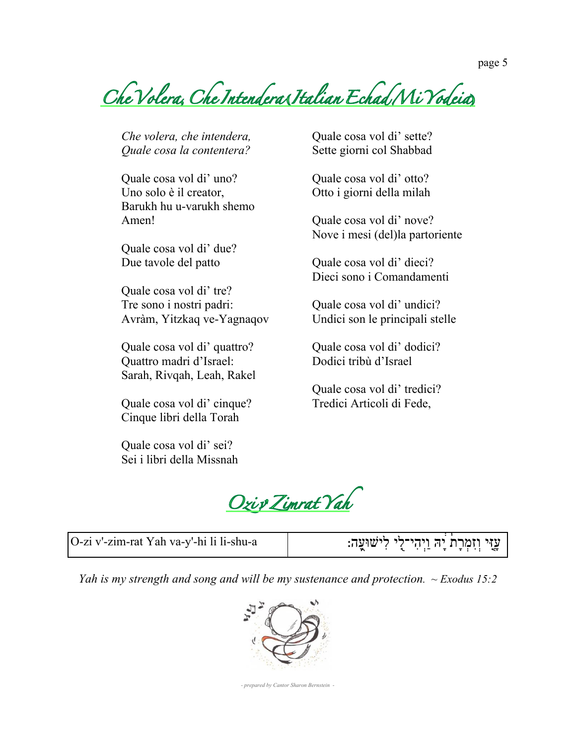*Che**Volera***,** *Che**Intendera* **(***Italian**Echad**Mi**Yodeia***)**

*Che volera, che intendera, Quale cosa la contentera?*

Quale cosa vol di' uno? Uno solo è il creator, Barukh hu u-varukh shemo Amen!

Quale cosa vol di' due? Due tavole del patto

Quale cosa vol di' tre? Tre sono i nostri padri: Avràm, Yitzkaq ve-Yagnaqov

Quale cosa vol di' quattro? Quattro madri d'Israel: Sarah, Rivqah, Leah, Rakel

Quale cosa vol di' cinque? Cinque libri della Torah

Quale cosa vol di' sei? Sei i libri della Missnah Quale cosa vol di' sette? Sette giorni col Shabbad

Quale cosa vol di' otto? Otto i giorni della milah

Quale cosa vol di' nove? Nove i mesi (del)la partoriente

Quale cosa vol di' dieci? Dieci sono i Comandamenti

Quale cosa vol di' undici? Undici son le principali stelle

Quale cosa vol di' dodici? Dodici tribù d'Israel

Quale cosa vol di' tredici? Tredici Articoli di Fede,

*Ozi**v***'***Zimrat**Yah*

| O-zi v'-zim-rat Yah va-y'-hi li li-shu-a | ֹ עזי וזמרת יה ויהי־לי לישוּעה:<br>ા મામ માં આવેલા માટે પ્રાથમિક પર આવેલા મા |
|------------------------------------------|------------------------------------------------------------------------------|
|------------------------------------------|------------------------------------------------------------------------------|

*Yah is my strength and song and will be my sustenance and protection. ~ Exodus 15:2*



*- prepared by Cantor Sharon Bernstein -*